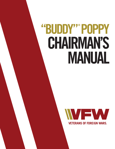# "BUDDY" POPPY **CHAIRMAN'S** MANUAL

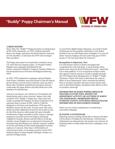# **"Buddy" Poppy Chairman's Manual**



# **A BRIEF HISTORY**

Since 1922, the "Buddy"® Poppy has been an integral part of the VFW community. As VFW's official memorial flower, the Poppy represents the blood shed by American service members. It reiterates the VFW will not forget their sacrifices.

The Poppy movement was inspired by Canadian Army Col. John McCrae's famous poem, "In Flanders Fields." Poppies were originally distributed by the Franco-American Children's League to benefit children in the devastated areas of France and Belgium following WWI.

In 1922, VFW conducted a campaign and got Poppies from France. Members soon discovered it took too long to get the flowers in from France and they came up with a better idea. Disabled, hospitalized and aging veterans could make the paper flowers and ship them out to the members for distribution.

And so it was known, for veterans in VA hospitals and domiciliaries and in state veterans' homes, every day would be VFW "Buddy"® Poppy Day. These men and women assemble the Poppies, tie them in bunches of 10 and pack them in boxes of 500, 1,000 or 2,000 for shipment to the Posts and Auxiliaries. VFW pays the disabled veteran for the work. In most cases, this extra money provides additional income for the worker to pay for the little luxuries which make life more tolerable. Furthermore, Poppy assembly is often used as a therapy program to provide exercise for fingers and hands crippled by wounds, disease and the effects of old age. Another reason Poppies are so important is because all proceeds from distribution are used for veteran's welfare or for the well being of their needy dependents and the orphans of veterans. More than 2,300 children of veterans have been, or are being cared for in the VFW National Home in Eaton Rapids, Michigan, thanks to a portion of Poppy funds.

As your Post's Buddy Poppy Chairman, you need to build enthusiasm for this program. Reiterate to your fellow members the two-fold importance of Poppies. It's truly all about veterans helping veterans and living up to VFW's motto of "No One Does More for Veterans."

# **Recognition is Important, Too!**

It is only human nature to desire and appreciate recognition for a job well done. A word of praise often means more than any kind of financial reward - especially if it is done publicly. It is in recognition of these truths that special citation awards are made available through the VFW Department Headquarters or "Buddy"® Poppy Chairman. Check with them to determine the rules in effect in your Department. Don't overlook the faithful Post or Auxiliary member who goes on the streets each year to distribute Poppies. Recognize their efforts at Post or Auxiliary meetings.

# *DISTRIBUTION OF BUDDY POPPIES SHOULD BE INCLUDED IN EVERY POST, DISTRICT OR DEPARTMENT ACTIVITY OR ANYTHING IN WHICH YOU PARTICIPATE. MEMBERSHIP DRIVES, PATRIOTIC EVENTS, EVEN BINGO SHOULD INCLUDE DISTRIBUTION OF OUR FAVORITE FLOWER!*

There are two critical components to conducting a successful campaign:

#### **PLANNING & ENTHUSIASM**

Planning ensures nothing will be left to chance and there will be plenty of Poppies for distribution. And the more enthusiasm you demonstrate, the greater your chances of inspiring others to help make this year's campaign a true success.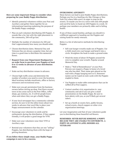# **Here are some important things to consider when preparing for your Buddy Poppy distribution:**

- $\checkmark$  Identify potential volunteers within your Post and Auxiliary and gather them together for an informational meeting explaining the purpose of the Buddy Poppy campaign.
- $\checkmark$  Plan on each volunteer distributing 200 Poppies. It sounds like a lot, but with the right placement in the community, 200 will go fast.
- $\checkmark$  Multiply the number of volunteers by 200 and that's approximately how many you should order.
- $\checkmark$  Choose distribution dates. Memorial Day and Veterans Day are always a popular time, but any time is a good time to distribute this memorial flower.
- **Request from your Department Headquarters an order form to purchase your Poppies at least 8 to 12 weeks in advance of your distribution dates.**
- $\checkmark$  Stake out key distribution venues in advance.
- $\checkmark$  Choose high traffic areas and determine the number of workers you need to cover the locations. Ideal locations include storefronts, office or factory entrances and recreational areas.
- $\checkmark$  Make sure you get permission from the business owners before setting up shop. Post flyers around town in key areas such as the Post Office, coffee shops, gas stations, etc. It will let people know when and where they can get a Buddy Poppy.
- $\checkmark$  If your local newspaper has a community calendar section, be sure to let the editor know about two weeks in advance that you'd like to place your Poppy announcement on the calendar.
- $\checkmark$  Encourage your volunteers to smile and be enthusiastic during the distribution. If they appear friendly, it will project a good image for VFW.
- $\checkmark$  Make sure your volunteers wear their VFW or Auxiliary caps.
- $\checkmark$  Remind your volunteers that they are not "selling" Poppies, but distributing them with the hope of getting donations.

**If you follow these simple steps, your Buddy Poppy campaign is sure to be a success.**

# **OVERCOMING ADVERSITY**

Many factors can lead to poor Buddy Poppy distributions. Perhaps you live in a bustling city like Chicago or New York City where folks aren't as eager to stop on the streets. Or maybe you live in a town with only 600 people and you'd be lucky to hand out 200 Poppies in a week. Or perhaps your members are primarily older and in failing health.

If any of these sound familiar, perhaps you should try a different approach to handing out the Poppies and raising funds for needy veterans.

Below is a list of alternative methods for distributing Poppies:

- $\checkmark$  Sell coat hanger wreaths made out of Poppies. Use a child-sized wire coat hanger and bend it into a circle. Straighten the hook to make a ground stake.
- $\checkmark$  Wind the stems of about 50 Poppies around the wire to complete your wreath. Popular around Memorial Day.
- $\checkmark$  Make a "Wall of Remembrance" at your Post. Patrons can request a Poppy in honor of a loved one who has died. Their name gets placed on the wall with a Poppy hanging next to it. Honorees' names can be typed on note cards with the Poppies stapled to them.
- $\checkmark$  Use Poppies to make table centerpieces that can be raffled off at Post suppers.
- $\checkmark$  Contact another civic organization in your community and ask if you can give a small presentation on the Buddy Poppy. Be sure to have plenty with you, as you'll likely get several takers.
- $\checkmark$  Set up a booth at county fairs, public forums, school events, church suppers or other civic organization meetings.

Let your imagination and that of your volunteers guide you in distributing these beautiful red flowers.

# **REMEMBER: NEVER REFUSE SOMEONE A POPPY BECAUSE THEY ARE UNABLE TO CONTRIBUTE. A POPPY ON ANYONE'S LAPEL HONORS ALL VETERANS!**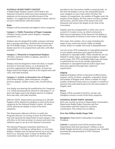# **NATIONAL BUDDY POPPY CONTEST**

A Buddy Poppy Display Contest will be held at the National Convention. Rules have been designed to put emphasis on the purpose and effectiveness of the displays. It is suggested that Department Contest rules be set up in conformance with this outline.

# **Rules**

Displays will be presented and judged in three categories:

# **Category 1. Public Promotion of Poppy Campaign**

(Window, booth, parade, poster displays, campaign promotions, etc.)

Displays must be designed for public exposure and must bear a message soliciting a donation for and wearing of the VFW Buddy Poppy. At least one Poppy used in the display must be in its original form and color, with label attached.

#### **Category 2. Memorial or Inspirational Displays**

(Wreaths, memorial tablets or plaques, patriotic or devotional themes)

Displays must be designed to honor the dead, to inspire devotion to God and Country, or to dramatize the activities supported by the Buddy Poppy. At least one Poppy used in the display must be in its original form and color, with label attached.

# **Category 3. Artistic or Decorative Use of Poppies**

(Post Home displays, table centerpieces, corsages, pictures, plaques, models, scenes, hats, novelty pieces, etc.)

Any display not meeting the qualifications for Categories 1 or 2 shall automatically be entered in wdCategory 3. At least one Poppy used in the display must be in original form and color, with label attached.

SPECIAL NOTE: Departments purchasing over 250,000 Poppies will be allowed two displays in each of the three categories for the National Display Contest. All others will be allowed one display in each of the three categories.

The Department Adjutant will have to notify the Programs Director, in writing, by June 30 of the Posts that will represent the Department in each category. This will allow us the time necessary to ensure each entry has sufficient space to set up at the National Convention.

The National Programs Committee shall have no responsibility in setting up, taking down, or returning displays. Displays may be entered and set up at any time from 8 a.m. Saturday until 12 Noon on Monday of the Convention week. Displays shall be set up in space

provided in the Convention exhibit or meeting halls. At the time the display is set up, the responsible person must complete an entry form which will show the category of competition, the number of Poppies used, the purpose of the display, the Post and/or Auxiliary number and location, and the name of the person who will dismantle and remove the display at the close of the Convention.

Displays may be accompanied by a white card, not to exceed 4 X 6 inches in size, on which is lettered in black ink an explanation of the theme for the display or other information of interest to the viewer or the judges.

Post name, Post number, city or state (including the shape of your state) may not be visible on display entries; failure to comply will result in disqualification.

Any use of non VFW trademarks or copyrighted material on your display must have prior approval from the trademark or copyright holder. These include but are not limited to names, logos, audio/visual graphics, images and/or props. The VFW and Buddy Poppy logo and name is authorized but use of any outside organization trademark or copyrighted material and/or logos must have prior approval through their respective organization.

# **Judging**

Judging of displays will be on the basis of effectiveness, purpose, clarity of theme, suitability, originality, beauty and number of Poppies used. Where a sample of a large number of identical items (such as corsages or wreaths) is entered, full credit shall be given for the total number of Poppies used.

# **Prizes**

Plaques will be awarded to the first, second, and thirdplace winners in each of the three categories.

# **NATIONAL BUDDY POPPY AWARDS**

Each year, awards are given to Department Commanders, Department Buddy Poppy Chairmen and Post Commanders and their respective Auxiliary counterparts. The contests are as follows:

# **Over One Million Buddy Poppy Club**

**Recipients:** Department Commander & Auxiliary President.

**Criteria:** A national award will be issued to those Departments that have purchased 1 million or more Buddy Poppies during the current program year. Awarded automatically and presented at VFW's National Convention.